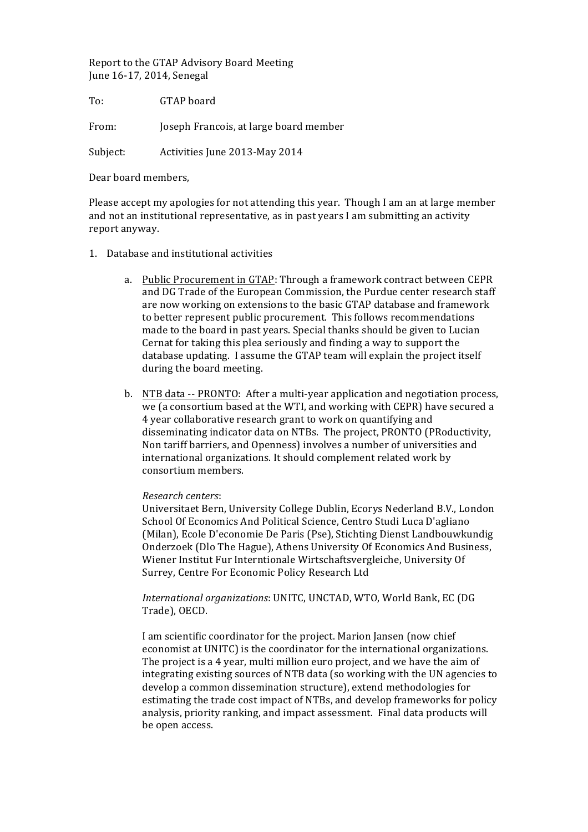Report to the GTAP Advisory Board Meeting June 16-17, 2014, Senegal

To: **GTAP** board From: Joseph Francois, at large board member

Subject: Activities June 2013-May 2014

Dear board members,

Please accept my apologies for not attending this year. Though I am an at large member and not an institutional representative, as in past years I am submitting an activity report anyway.

- 1. Database and institutional activities
	- a. Public Procurement in GTAP: Through a framework contract between CEPR and DG Trade of the European Commission, the Purdue center research staff are now working on extensions to the basic GTAP database and framework to better represent public procurement. This follows recommendations made to the board in past years. Special thanks should be given to Lucian Cernat for taking this plea seriously and finding a way to support the database updating. I assume the GTAP team will explain the project itself during the board meeting.
	- b. NTB data -- PRONTO: After a multi-year application and negotiation process, we (a consortium based at the WTI, and working with CEPR) have secured a 4 year collaborative research grant to work on quantifying and disseminating indicator data on NTBs. The project, PRONTO (PRoductivity, Non tariff barriers, and Openness) involves a number of universities and international organizations. It should complement related work by consortium members.

## *Research centers*:

Universitaet Bern, University College Dublin, Ecorys Nederland B.V., London School Of Economics And Political Science, Centro Studi Luca D'agliano (Milan), Ecole D'economie De Paris (Pse), Stichting Dienst Landbouwkundig Onderzoek (Dlo The Hague), Athens University Of Economics And Business, Wiener Institut Fur Interntionale Wirtschaftsvergleiche, University Of Surrey, Centre For Economic Policy Research Ltd

*International organizations:* UNITC, UNCTAD, WTO, World Bank, EC (DG Trade), OECD.

I am scientific coordinator for the project. Marion Jansen (now chief economist at UNITC) is the coordinator for the international organizations. The project is a 4 year, multi million euro project, and we have the aim of integrating existing sources of NTB data (so working with the UN agencies to develop a common dissemination structure), extend methodologies for estimating the trade cost impact of NTBs, and develop frameworks for policy analysis, priority ranking, and impact assessment. Final data products will be open access.